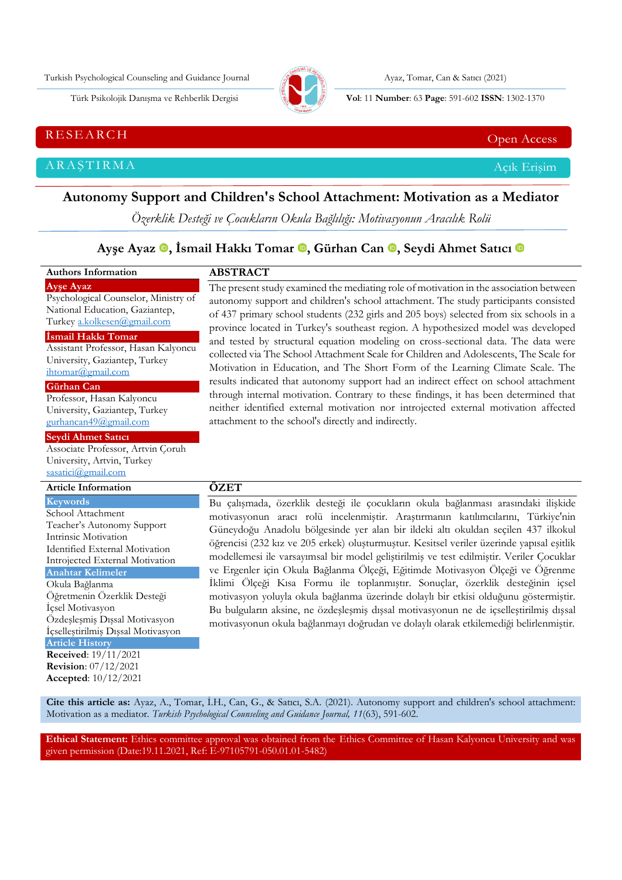Turkish Psychological Counseling and Guidance Journal Ayaz, Tomar, Can & Satıcı (2021)



Türk Psikolojik Danışma ve Rehberlik Dergisi **Vol**: 11 **Number**: 63 **Page** : 591-602 **ISSN**: 1302-1370

RESEARCH CHE Open Access and the contract of the contract of the contract of the contract of the contract of the contract of the contract of the contract of the contract of the contract of the contract of the contract of t

ARAŞTIRMA Açık Erişim

## **Autonomy Support and Children's School Attachment: Motivation as a Mediator**

*Özerklik Desteği ve Çocukların Okula Bağlılığı: Motivasyonun Aracılık Rolü*

## **Ayşe Ayaz , İsmail Hakkı Tomar [,](https://orcid.org/0000-0002-1800-0629) Gürhan Can , Seydi Ahmet Satıcı**

# **Authors Information**

**Ayşe Ayaz** Psychological Counselor, Ministry of National Education, Gaziantep, Turkey [a.kolkesen@gmail.com](mailto:a.kolkesen@gmail.com)

#### **İsmail Hakkı Tomar**

Assistant Professor, Hasan Kalyoncu University, Gaziantep, Turkey [ihtomar@gmail.com](mailto:ihtomar@gmail.com)

#### **Gürhan Can**

Professor, Hasan Kalyoncu University, Gaziantep, Turkey [gurhancan49@gmail.com](mailto:gurhancan49@gmail.com)

#### **Seydi Ahmet Satıcı**

Associate Professor, Artvin Çoruh University, Artvin, Turkey [sasatici@gmail.com](mailto:sasatici@gmail.com)

#### **Article Information**

**Keywords** School Attachment Teacher's Autonomy Support Intrinsic Motivation Identified External Motivation Introjected External Motivation **Anahtar Kelimeler** Okula Bağlanma Öğretmenin Özerklik Desteği İçsel Motivasyon Özdeşleşmiş Dışsal Motivasyon İçselleştirilmiş Dışsal Motivasyon **Article History Received**: 19/11/2021 **Revision**: 07/12/2021

**Accepted**: 10/12/2021

## **ABSTRACT**

The present study examined the mediating role of motivation in the association between autonomy support and children's school attachment. The study participants consisted of 437 primary school students (232 girls and 205 boys) selected from six schools in a province located in Turkey's southeast region. A hypothesized model was developed and tested by structural equation modeling on cross-sectional data. The data were collected via The School Attachment Scale for Children and Adolescents, The Scale for Motivation in Education, and The Short Form of the Learning Climate Scale. The results indicated that autonomy support had an indirect effect on school attachment through internal motivation. Contrary to these findings, it has been determined that neither identified external motivation nor introjected external motivation affected attachment to the school's directly and indirectly.

#### **ÖZET**

Bu çalışmada, özerklik desteği ile çocukların okula bağlanması arasındaki ilişkide motivasyonun aracı rolü incelenmiştir. Araştırmanın katılımcılarını, Türkiye'nin Güneydoğu Anadolu bölgesinde yer alan bir ildeki altı okuldan seçilen 437 ilkokul öğrencisi (232 kız ve 205 erkek) oluşturmuştur. Kesitsel veriler üzerinde yapısal eşitlik modellemesi ile varsayımsal bir model geliştirilmiş ve test edilmiştir. Veriler Çocuklar ve Ergenler için Okula Bağlanma Ölçeği, Eğitimde Motivasyon Ölçeği ve Öğrenme İklimi Ölçeği Kısa Formu ile toplanmıştır. Sonuçlar, özerklik desteğinin içsel motivasyon yoluyla okula bağlanma üzerinde dolaylı bir etkisi olduğunu göstermiştir. Bu bulguların aksine, ne özdeşleşmiş dışsal motivasyonun ne de içselleştirilmiş dışsal motivasyonun okula bağlanmayı doğrudan ve dolaylı olarak etkilemediği belirlenmiştir.

**Cite this article as:** Ayaz, A., Tomar, İ.H., Can, G., & Satıcı, S.A. (2021). Autonomy support and children's school attachment: Motivation as a mediator*. Turkish Psychological Counseling and Guidance Journal, 11*(63), 591-602.

**Ethical Statement:** Ethics committee approval was obtained from the Ethics Committee of Hasan Kalyoncu University and was given permission (Date:19.11.2021, Ref: E-97105791-050.01.01-5482)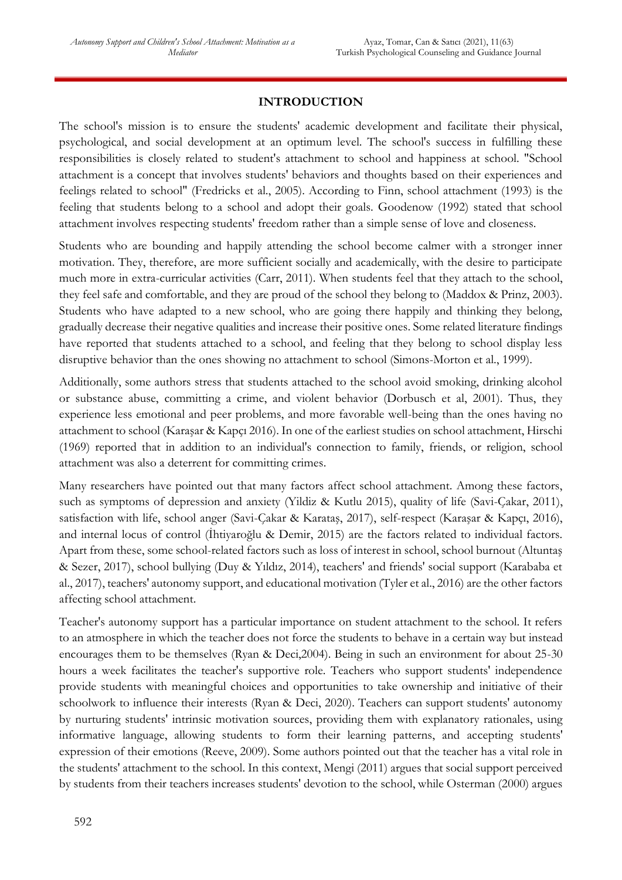## **INTRODUCTION**

The school's mission is to ensure the students' academic development and facilitate their physical, psychological, and social development at an optimum level. The school's success in fulfilling these responsibilities is closely related to student's attachment to school and happiness at school. "School attachment is a concept that involves students' behaviors and thoughts based on their experiences and feelings related to school" (Fredricks et al., 2005). According to Finn, school attachment (1993) is the feeling that students belong to a school and adopt their goals. Goodenow (1992) stated that school attachment involves respecting students' freedom rather than a simple sense of love and closeness.

Students who are bounding and happily attending the school become calmer with a stronger inner motivation. They, therefore, are more sufficient socially and academically, with the desire to participate much more in extra-curricular activities (Carr, 2011). When students feel that they attach to the school, they feel safe and comfortable, and they are proud of the school they belong to (Maddox & Prinz, 2003). Students who have adapted to a new school, who are going there happily and thinking they belong, gradually decrease their negative qualities and increase their positive ones. Some related literature findings have reported that students attached to a school, and feeling that they belong to school display less disruptive behavior than the ones showing no attachment to school (Simons-Morton et al., 1999).

Additionally, some authors stress that students attached to the school avoid smoking, drinking alcohol or substance abuse, committing a crime, and violent behavior (Dorbusch et al, 2001). Thus, they experience less emotional and peer problems, and more favorable well-being than the ones having no attachment to school (Karaşar & Kapçı 2016). In one of the earliest studies on school attachment, Hirschi (1969) reported that in addition to an individual's connection to family, friends, or religion, school attachment was also a deterrent for committing crimes.

Many researchers have pointed out that many factors affect school attachment. Among these factors, such as symptoms of depression and anxiety (Yildiz & Kutlu 2015), quality of life (Savi-Çakar, 2011), satisfaction with life, school anger (Savi-Çakar & Karataş, 2017), self-respect (Karaşar & Kapçı, 2016), and internal locus of control (İhtiyaroğlu & Demir, 2015) are the factors related to individual factors. Apart from these, some school-related factors such as loss of interest in school, school burnout (Altuntaş & Sezer, 2017), school bullying (Duy & Yıldız, 2014), teachers' and friends' social support (Karababa et al., 2017), teachers' autonomy support, and educational motivation (Tyler et al., 2016) are the other factors affecting school attachment.

Teacher's autonomy support has a particular importance on student attachment to the school. It refers to an atmosphere in which the teacher does not force the students to behave in a certain way but instead encourages them to be themselves (Ryan & Deci,2004). Being in such an environment for about 25-30 hours a week facilitates the teacher's supportive role. Teachers who support students' independence provide students with meaningful choices and opportunities to take ownership and initiative of their schoolwork to influence their interests (Ryan & Deci, 2020). Teachers can support students' autonomy by nurturing students' intrinsic motivation sources, providing them with explanatory rationales, using informative language, allowing students to form their learning patterns, and accepting students' expression of their emotions (Reeve, 2009). Some authors pointed out that the teacher has a vital role in the students' attachment to the school. In this context, Mengi (2011) argues that social support perceived by students from their teachers increases students' devotion to the school, while Osterman (2000) argues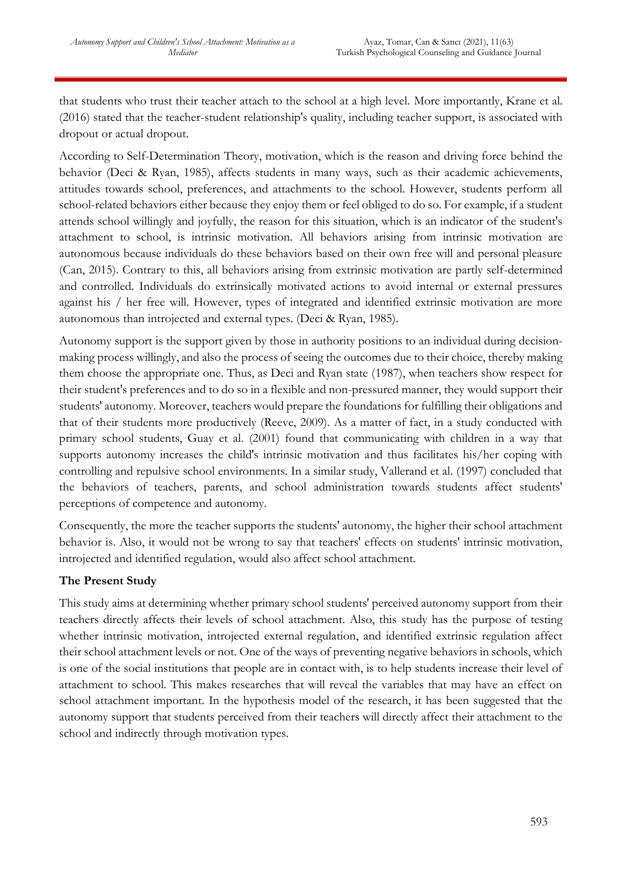that students who trust their teacher attach to the school at a high level. More importantly, Krane et al. (2016) stated that the teacher-student relationship's quality, including teacher support, is associated with dropout or actual dropout.

According to Self-Determination Theory, motivation, which is the reason and driving force behind the behavior (Deci & Ryan, 1985), affects students in many ways, such as their academic achievements, attitudes towards school, preferences, and attachments to the school. However, students perform all school-related behaviors either because they enjoy them or feel obliged to do so. For example, if a student attends school willingly and joyfully, the reason for this situation, which is an indicator of the student's attachment to school, is intrinsic motivation. All behaviors arising from intrinsic motivation are autonomous because individuals do these behaviors based on their own free will and personal pleasure (Can, 2015). Contrary to this, all behaviors arising from extrinsic motivation are partly self-determined and controlled. Individuals do extrinsically motivated actions to avoid internal or external pressures against his / her free will. However, types of integrated and identified extrinsic motivation are more autonomous than introjected and external types. (Deci & Ryan, 1985).

Autonomy support is the support given by those in authority positions to an individual during decisionmaking process willingly, and also the process of seeing the outcomes due to their choice, thereby making them choose the appropriate one. Thus, as Deci and Ryan state (1987), when teachers show respect for their student's preferences and to do so in a flexible and non-pressured manner, they would support their students' autonomy. Moreover, teachers would prepare the foundations for fulfilling their obligations and that of their students more productively (Reeve, 2009). As a matter of fact, in a study conducted with primary school students, Guay et al. (2001) found that communicating with children in a way that supports autonomy increases the child's intrinsic motivation and thus facilitates his/her coping with controlling and repulsive school environments. In a similar study, Vallerand et al. (1997) concluded that the behaviors of teachers, parents, and school administration towards students affect students' perceptions of competence and autonomy.

Consequently, the more the teacher supports the students' autonomy, the higher their school attachment behavior is. Also, it would not be wrong to say that teachers' effects on students' intrinsic motivation, introjected and identified regulation, would also affect school attachment.

## **The Present Study**

This study aims at determining whether primary school students' perceived autonomy support from their teachers directly affects their levels of school attachment. Also, this study has the purpose of testing whether intrinsic motivation, introjected external regulation, and identified extrinsic regulation affect their school attachment levels or not. One of the ways of preventing negative behaviors in schools, which is one of the social institutions that people are in contact with, is to help students increase their level of attachment to school. This makes researches that will reveal the variables that may have an effect on school attachment important. In the hypothesis model of the research, it has been suggested that the autonomy support that students perceived from their teachers will directly affect their attachment to the school and indirectly through motivation types.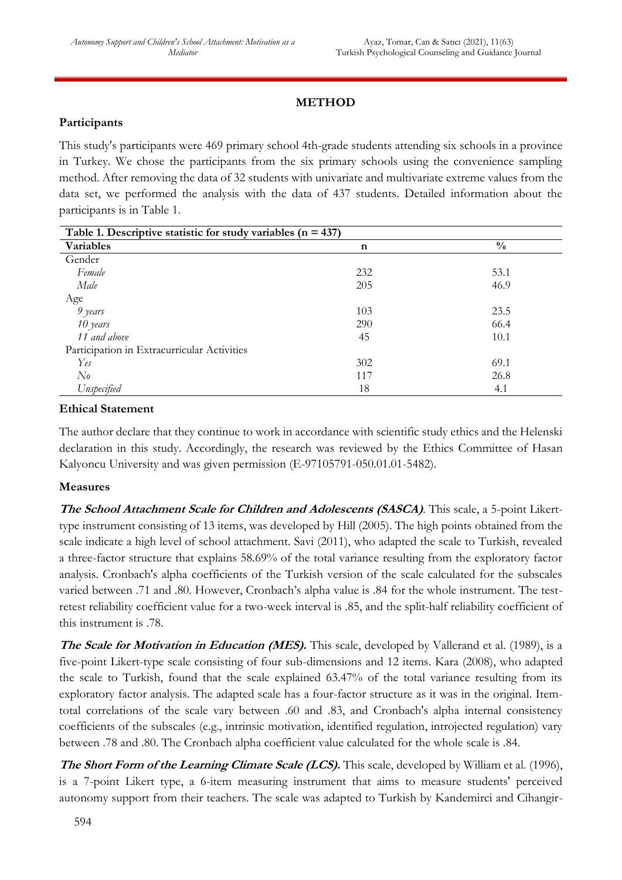## **METHOD**

### **Participants**

This study's participants were 469 primary school 4th-grade students attending six schools in a province in Turkey. We chose the participants from the six primary schools using the convenience sampling method. After removing the data of 32 students with univariate and multivariate extreme values from the data set, we performed the analysis with the data of 437 students. Detailed information about the participants is in Table 1.

| Table 1. Descriptive statistic for study variables $(n = 437)$ |     |               |  |  |
|----------------------------------------------------------------|-----|---------------|--|--|
| Variables                                                      | n   | $\frac{0}{0}$ |  |  |
| Gender                                                         |     |               |  |  |
| Female                                                         | 232 | 53.1          |  |  |
| Male                                                           | 205 | 46.9          |  |  |
| Age                                                            |     |               |  |  |
| 9 years                                                        | 103 | 23.5          |  |  |
| 10 years                                                       | 290 | 66.4          |  |  |
| 11 and above                                                   | 45  | 10.1          |  |  |
| Participation in Extracurricular Activities                    |     |               |  |  |
| Yes                                                            | 302 | 69.1          |  |  |
| $N_{\theta}$                                                   | 117 | 26.8          |  |  |
| Unspecified                                                    | 18  | 4.1           |  |  |

#### **Ethical Statement**

The author declare that they continue to work in accordance with scientific study ethics and the Helenski declaration in this study. Accordingly, the research was reviewed by the Ethics Committee of Hasan Kalyoncu University and was given permission (E-97105791-050.01.01-5482).

#### **Measures**

**The School Attachment Scale for Children and Adolescents (SASCA)**. This scale, a 5-point Likerttype instrument consisting of 13 items, was developed by Hill (2005). The high points obtained from the scale indicate a high level of school attachment. Savi (2011), who adapted the scale to Turkish, revealed a three-factor structure that explains 58.69% of the total variance resulting from the exploratory factor analysis. Cronbach's alpha coefficients of the Turkish version of the scale calculated for the subscales varied between .71 and .80. However, Cronbach's alpha value is .84 for the whole instrument. The testretest reliability coefficient value for a two-week interval is .85, and the split-half reliability coefficient of this instrument is .78.

**The Scale for Motivation in Education (MES).** This scale, developed by Vallerand et al. (1989), is a five-point Likert-type scale consisting of four sub-dimensions and 12 items. Kara (2008), who adapted the scale to Turkish, found that the scale explained 63.47% of the total variance resulting from its exploratory factor analysis. The adapted scale has a four-factor structure as it was in the original. Itemtotal correlations of the scale vary between .60 and .83, and Cronbach's alpha internal consistency coefficients of the subscales (e.g., intrinsic motivation, identified regulation, introjected regulation) vary between .78 and .80. The Cronbach alpha coefficient value calculated for the whole scale is .84.

**The Short Form of the Learning Climate Scale (LCS).** This scale, developed by William et al. (1996), is a 7-point Likert type, a 6-item measuring instrument that aims to measure students' perceived autonomy support from their teachers. The scale was adapted to Turkish by Kandemirci and Cihangir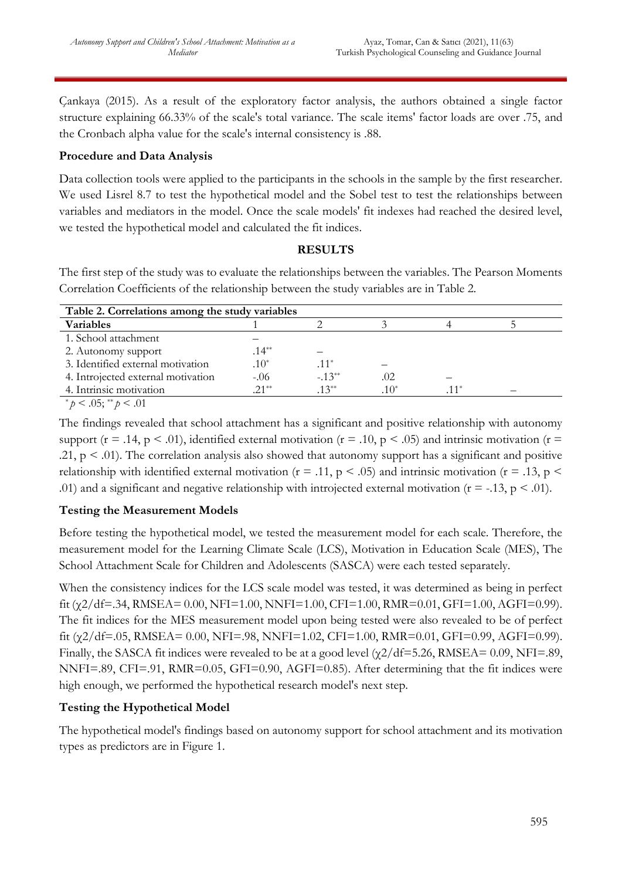Çankaya (2015). As a result of the exploratory factor analysis, the authors obtained a single factor structure explaining 66.33% of the scale's total variance. The scale items' factor loads are over .75, and the Cronbach alpha value for the scale's internal consistency is .88.

## **Procedure and Data Analysis**

Data collection tools were applied to the participants in the schools in the sample by the first researcher. We used Lisrel 8.7 to test the hypothetical model and the Sobel test to test the relationships between variables and mediators in the model. Once the scale models' fit indexes had reached the desired level, we tested the hypothetical model and calculated the fit indices.

## **RESULTS**

The first step of the study was to evaluate the relationships between the variables. The Pearson Moments Correlation Coefficients of the relationship between the study variables are in Table 2.

| Table 2. Correlations among the study variables |              |           |        |        |  |
|-------------------------------------------------|--------------|-----------|--------|--------|--|
| <b>Variables</b>                                |              |           |        |        |  |
| 1. School attachment                            |              |           |        |        |  |
| 2. Autonomy support                             | $.14**$      |           |        |        |  |
| 3. Identified external motivation               | $.10^{\ast}$ | $.11*$    |        |        |  |
| 4. Introjected external motivation              | $-.06$       | $-.13**$  | .02    |        |  |
| 4. Intrinsic motivation                         | $21**$       | $13^{**}$ | $.10*$ | $.11*$ |  |
|                                                 |              |           |        |        |  |

 $* p < .05; ** p < .01$ 

The findings revealed that school attachment has a significant and positive relationship with autonomy support ( $r = .14$ ,  $p < .01$ ), identified external motivation ( $r = .10$ ,  $p < .05$ ) and intrinsic motivation ( $r =$ .21,  $p < .01$ ). The correlation analysis also showed that autonomy support has a significant and positive relationship with identified external motivation ( $r = .11$ ,  $p < .05$ ) and intrinsic motivation ( $r = .13$ ,  $p <$ .01) and a significant and negative relationship with introjected external motivation ( $r = -13$ ,  $p < .01$ ).

## **Testing the Measurement Models**

Before testing the hypothetical model, we tested the measurement model for each scale. Therefore, the measurement model for the Learning Climate Scale (LCS), Motivation in Education Scale (MES), The School Attachment Scale for Children and Adolescents (SASCA) were each tested separately.

When the consistency indices for the LCS scale model was tested, it was determined as being in perfect fit  $(\gamma 2/df=.34, RMSEA= 0.00, NFI=1.00, NNFI=1.00, CFI=1.00, RMR=0.01, GFI=1.00, AGFI=0.99).$ The fit indices for the MES measurement model upon being tested were also revealed to be of perfect fit  $(\gamma 2/df=.05, RMSEA= 0.00, NFI=.98, NNFI=1.02, CFI=1.00, RMR=0.01, GFI=0.99, AGFI=0.99).$ Finally, the SASCA fit indices were revealed to be at a good level  $(\gamma 2/df=5.26, RMSEA= 0.09, NFI=.89,$ NNFI=.89, CFI=.91, RMR=0.05, GFI=0.90, AGFI=0.85). After determining that the fit indices were high enough, we performed the hypothetical research model's next step.

## **Testing the Hypothetical Model**

The hypothetical model's findings based on autonomy support for school attachment and its motivation types as predictors are in Figure 1.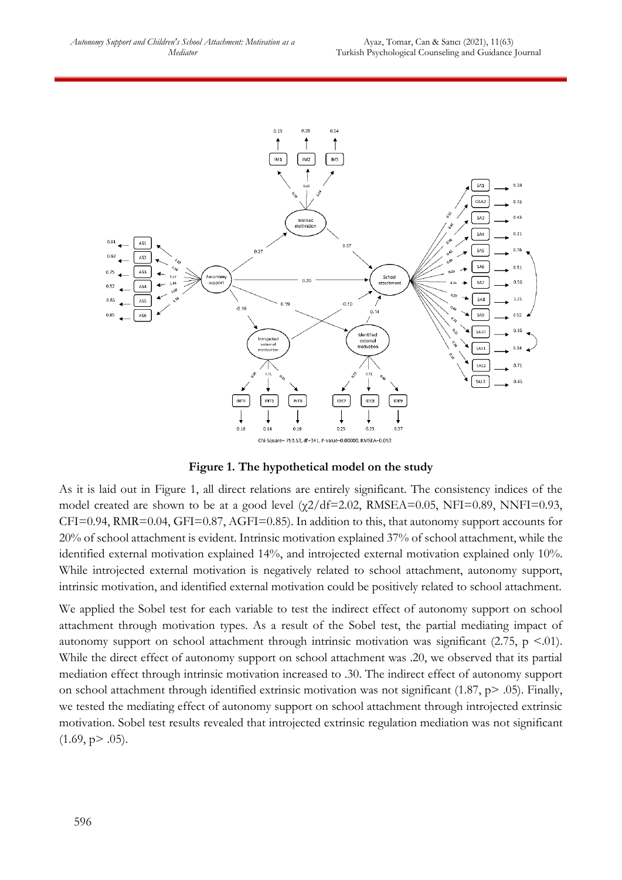

**Figure 1. The hypothetical model on the study**

As it is laid out in Figure 1, all direct relations are entirely significant. The consistency indices of the model created are shown to be at a good level  $(\chi^2/df=2.02, RMSEA=0.05, NFI=0.89, NNFI=0.93,$ CFI=0.94, RMR=0.04, GFI=0.87, AGFI=0.85). In addition to this, that autonomy support accounts for 20% of school attachment is evident. Intrinsic motivation explained 37% of school attachment, while the identified external motivation explained 14%, and introjected external motivation explained only 10%. While introjected external motivation is negatively related to school attachment, autonomy support, intrinsic motivation, and identified external motivation could be positively related to school attachment.

We applied the Sobel test for each variable to test the indirect effect of autonomy support on school attachment through motivation types. As a result of the Sobel test, the partial mediating impact of autonomy support on school attachment through intrinsic motivation was significant  $(2.75, p \le 0.01)$ . While the direct effect of autonomy support on school attachment was .20, we observed that its partial mediation effect through intrinsic motivation increased to .30. The indirect effect of autonomy support on school attachment through identified extrinsic motivation was not significant (1.87, p> .05). Finally, we tested the mediating effect of autonomy support on school attachment through introjected extrinsic motivation. Sobel test results revealed that introjected extrinsic regulation mediation was not significant  $(1.69, p > .05)$ .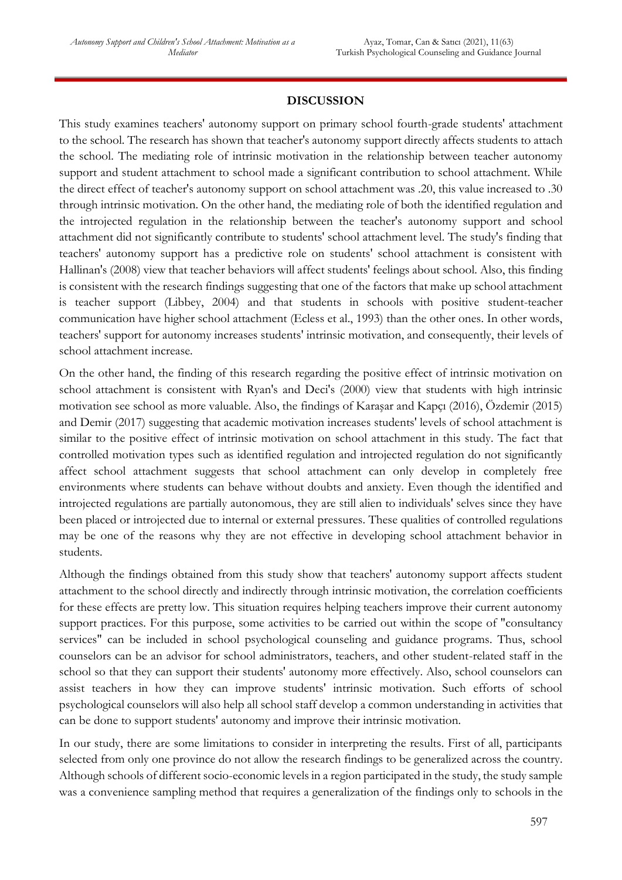## **DISCUSSION**

This study examines teachers' autonomy support on primary school fourth-grade students' attachment to the school. The research has shown that teacher's autonomy support directly affects students to attach the school. The mediating role of intrinsic motivation in the relationship between teacher autonomy support and student attachment to school made a significant contribution to school attachment. While the direct effect of teacher's autonomy support on school attachment was .20, this value increased to .30 through intrinsic motivation. On the other hand, the mediating role of both the identified regulation and the introjected regulation in the relationship between the teacher's autonomy support and school attachment did not significantly contribute to students' school attachment level. The study's finding that teachers' autonomy support has a predictive role on students' school attachment is consistent with Hallinan's (2008) view that teacher behaviors will affect students' feelings about school. Also, this finding is consistent with the research findings suggesting that one of the factors that make up school attachment is teacher support (Libbey, 2004) and that students in schools with positive student-teacher communication have higher school attachment (Ecless et al., 1993) than the other ones. In other words, teachers' support for autonomy increases students' intrinsic motivation, and consequently, their levels of school attachment increase.

On the other hand, the finding of this research regarding the positive effect of intrinsic motivation on school attachment is consistent with Ryan's and Deci's (2000) view that students with high intrinsic motivation see school as more valuable. Also, the findings of Karaşar and Kapçı (2016), Özdemir (2015) and Demir (2017) suggesting that academic motivation increases students' levels of school attachment is similar to the positive effect of intrinsic motivation on school attachment in this study. The fact that controlled motivation types such as identified regulation and introjected regulation do not significantly affect school attachment suggests that school attachment can only develop in completely free environments where students can behave without doubts and anxiety. Even though the identified and introjected regulations are partially autonomous, they are still alien to individuals' selves since they have been placed or introjected due to internal or external pressures. These qualities of controlled regulations may be one of the reasons why they are not effective in developing school attachment behavior in students.

Although the findings obtained from this study show that teachers' autonomy support affects student attachment to the school directly and indirectly through intrinsic motivation, the correlation coefficients for these effects are pretty low. This situation requires helping teachers improve their current autonomy support practices. For this purpose, some activities to be carried out within the scope of "consultancy services" can be included in school psychological counseling and guidance programs. Thus, school counselors can be an advisor for school administrators, teachers, and other student-related staff in the school so that they can support their students' autonomy more effectively. Also, school counselors can assist teachers in how they can improve students' intrinsic motivation. Such efforts of school psychological counselors will also help all school staff develop a common understanding in activities that can be done to support students' autonomy and improve their intrinsic motivation.

In our study, there are some limitations to consider in interpreting the results. First of all, participants selected from only one province do not allow the research findings to be generalized across the country. Although schools of different socio-economic levels in a region participated in the study, the study sample was a convenience sampling method that requires a generalization of the findings only to schools in the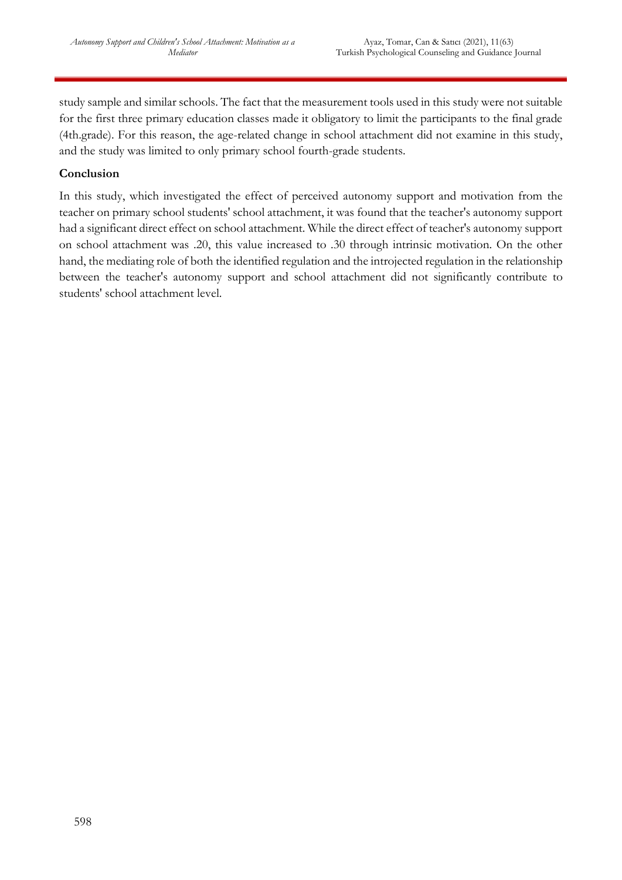study sample and similar schools. The fact that the measurement tools used in this study were not suitable for the first three primary education classes made it obligatory to limit the participants to the final grade (4th.grade). For this reason, the age-related change in school attachment did not examine in this study, and the study was limited to only primary school fourth-grade students.

## **Conclusion**

In this study, which investigated the effect of perceived autonomy support and motivation from the teacher on primary school students' school attachment, it was found that the teacher's autonomy support had a significant direct effect on school attachment. While the direct effect of teacher's autonomy support on school attachment was .20, this value increased to .30 through intrinsic motivation. On the other hand, the mediating role of both the identified regulation and the introjected regulation in the relationship between the teacher's autonomy support and school attachment did not significantly contribute to students' school attachment level.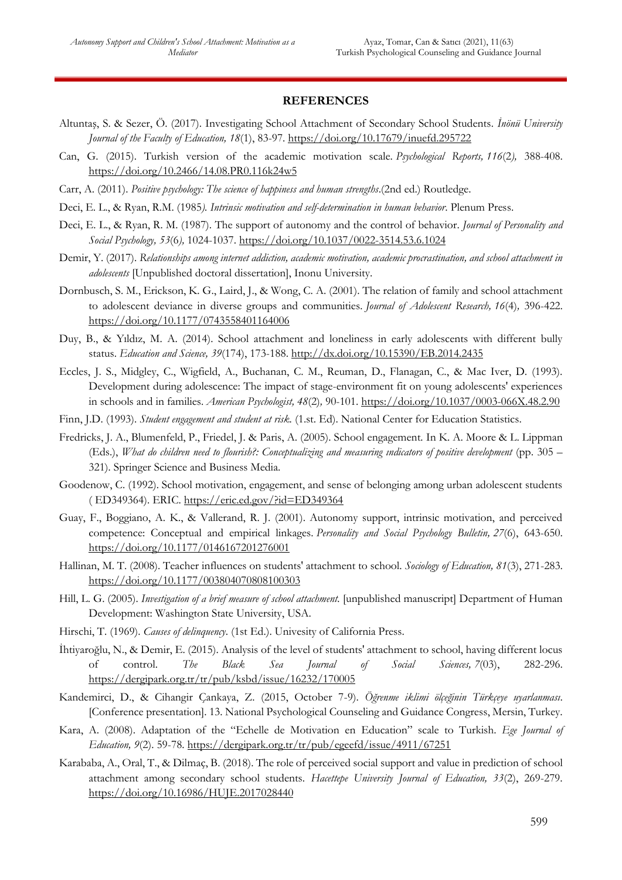#### **REFERENCES**

- Altuntaş, S. & Sezer, Ö. (2017). Investigating School Attachment of Secondary School Students*. İnönü University Journal of the Faculty of Education, 18*(1), 83-97[. https://doi.org/10.17679/inuefd.295722](about:blank)
- Can, G. (2015). Turkish version of the academic motivation scale. *Psychological Reports, 116*(2*),* 388-408. [https://doi.org/10.2466/14.08.PR0.116k24w5](about:blank)
- Carr, A. (2011). *Positive psychology: The science of happiness and human strengths*.(2nd ed.) Routledge.
- Deci, E. L., & Ryan, R.M. (1985*). Intrinsic motivation and self-determination in human behavior*. Plenum Press.
- Deci, E. L., & Ryan, R. M. (1987). The support of autonomy and the control of behavior. *Journal of Personality and Social Psychology, 53*(6*),* 1024-1037. [https://doi.org/10.1037/0022-3514.53.6.1024](about:blank)
- Demir, Y. (2017). *Relationships among internet addiction, academic motivation, academic procrastination, and school attachment in adolescents* [Unpublished doctoral dissertation], Inonu University.
- Dornbusch, S. M., Erickson, K. G., Laird, J., & Wong, C. A. (2001). The relation of family and school attachment to adolescent deviance in diverse groups and communities*. Journal of Adolescent Research, 16*(4)*,* 396-422. [https://doi.org/10.1177/0743558401164006](about:blank)
- Duy, B., & Yıldız, M. A. (2014). School attachment and loneliness in early adolescents with different bully status. *Education and Science, 39*(174), 173-188. [http://dx.doi.org/10.15390/EB.2014.2435](about:blank)
- Eccles, J. S., Midgley, C., Wigfield, A., Buchanan, C. M., Reuman, D., Flanagan, C., & Mac Iver, D. (1993). Development during adolescence: The impact of stage-environment fit on young adolescents' experiences in schools and in families. *American Psychologist, 48*(2)*,* 90-101. [https://doi.org/10.1037/0003-066X.48.2.90](about:blank)
- Finn, J.D. (1993). *Student engagement and student at risk.* (1.st. Ed). National Center for Education Statistics.
- Fredricks, J. A., Blumenfeld, P., Friedel, J. & Paris, A. (2005). School engagement*.* In K. A. Moore & L. Lippman (Eds.), *What do children need to flourish?: Conceptualizing and measuring ındicators of positive development* (pp. 305 – 321)*.* Springer Science and Business Media.
- Goodenow, C. (1992). School motivation, engagement, and sense of belonging among urban adolescent students ( ED349364). ERIC. [https://eric.ed.gov/?id=ED349364](about:blank)
- Guay, F., Boggiano, A. K., & Vallerand, R. J. (2001). Autonomy support, intrinsic motivation, and perceived competence: Conceptual and empirical linkages. *Personality and Social Psychology Bulletin, 27*(6), 643-650. [https://doi.org/10.1177/0146167201276001](about:blank)
- Hallinan, M. T. (2008). Teacher influences on students' attachment to school. *Sociology of Education, 81*(3), 271-283. [https://doi.org/10.1177/003804070808100303](about:blank)
- Hill, L. G. (2005). *Investigation of a brief measure of school attachment.* [unpublished manuscript] Department of Human Development: Washington State University, USA.
- Hirschi, T. (1969). *Causes of delinquency*. (1st Ed.). Univesity of California Press.
- İhtiyaroğlu, N., & Demir, E. (2015). Analysis of the level of students' attachment to school, having different locus of control. *The Black Sea Journal of Social Sciences, 7*(03), 282-296. [https://dergipark.org.tr/tr/pub/ksbd/issue/16232/170005](about:blank)
- Kandemirci, D., & Cihangir Çankaya, Z. (2015, October 7-9). *Öğrenme iklimi ölçeğinin Türkçeye uyarlanması*. [Conference presentation]. 13. National Psychological Counseling and Guidance Congress, Mersin, Turkey.
- Kara, A. (2008). Adaptation of the "Echelle de Motivation en Education" scale to Turkish. *Ege Journal of Education, 9*(2). 59-78. [https://dergipark.org.tr/tr/pub/egeefd/issue/4911/67251](about:blank)
- Karababa, A., Oral, T., & Dilmaç, B. (2018). The role of perceived social support and value in prediction of school attachment among secondary school students. *Hacettepe University Journal of Education, 33*(2), 269-279. [https://doi.org/10.16986/HUJE.2017028440](about:blank)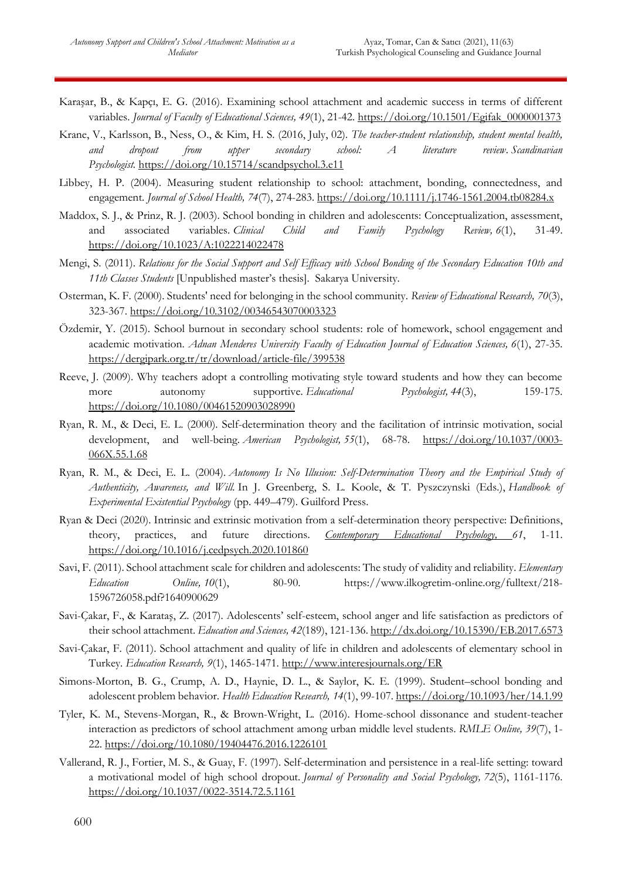- Karaşar, B., & Kapçı, E. G. (2016). Examining school attachment and academic success in terms of different variables. *Journal of Faculty of Educational Sciences, 49*(1), 21-42. [https://doi.org/10.1501/Egifak\\_0000001373](about:blank)
- Krane, V., Karlsson, B., Ness, O., & Kim, H. S. (2016, July, 02). *The teacher-student relationship, student mental health, and dropout from upper secondary school: A literature review*. *Scandinavian Psychologist.* [https://doi.org/10.15714/scandpsychol.3.e11](about:blank)
- Libbey, H. P. (2004). Measuring student relationship to school: attachment, bonding, connectedness, and engagement. *Journal of School Health, 74*(7), 274-283[. https://doi.org/10.1111/j.1746-1561.2004.tb08284.x](about:blank)
- Maddox, S. J., & Prinz, R. J. (2003). School bonding in children and adolescents: Conceptualization, assessment, and associated variables. *Clinical Child and Family Psychology Review, 6*(1), 31-49. [https://doi.org/10.1023/A:1022214022478](about:blank)
- Mengi, S. (2011). *Relations for the Social Support and Self Efficacy with School Bonding of the Secondary Education 10th and 11th Classes Students* [Unpublished master's thesis]. Sakarya University.
- Osterman, K. F. (2000). Students' need for belonging in the school community. *Review of Educational Research, 70*(3), 323-367. [https://doi.org/10.3102/00346543070003323](about:blank)
- Özdemir, Y. (2015). School burnout in secondary school students: role of homework, school engagement and academic motivation. *Adnan Menderes University Faculty of Education Journal of Education Sciences, 6*(1), 27-35. [https://dergipark.org.tr/tr/download/article-file/399538](about:blank)
- Reeve, J. (2009). Why teachers adopt a controlling motivating style toward students and how they can become more autonomy supportive. *Educational Psychologist,* 44(3), 159-175. [https://doi.org/10.1080/00461520903028990](about:blank)
- Ryan, R. M., & Deci, E. L. (2000). Self-determination theory and the facilitation of intrinsic motivation, social development, and well-being. *American Psychologist, 55*(1), 68-78. [https://doi.org/10.1037/0003-](about:blank) [066X.55.1.68](about:blank)
- Ryan, R. M., & Deci, E. L. (2004). *Autonomy Is No Illusion: Self-Determination Theory and the Empirical Study of Authenticity, Awareness, and Will.* In J. Greenberg, S. L. Koole, & T. Pyszczynski (Eds.), *Handbook of Experimental Existential Psychology* (pp. 449–479). Guilford Press.
- Ryan & Deci (2020). Intrinsic and extrinsic motivation from a self-determination theory perspective: Definitions, theory, practices, and future directions. *[Contemporary Educational Psychology,](about:blank) 61*, 1-11. [https://doi.org/10.1016/j.cedpsych.2020.101860](about:blank)
- Savi, F. (2011). School attachment scale for children and adolescents: The study of validity and reliability. *Elementary Education Online, 10*(1), 80-90. https://www.ilkogretim-online.org/fulltext/218- 1596726058.pdf?1640900629
- Savi-Çakar, F., & Karataş, Z. (2017). Adolescents' self-esteem, school anger and life satisfaction as predictors of their school attachment. *Education and Sciences, 42*(189), 121-136. [http://dx.doi.org/10.15390/EB.2017.6573](about:blank)
- Savi-Çakar, F. (2011). School attachment and quality of life in children and adolescents of elementary school in Turkey. *Education Research, 9*(1), 1465-1471. [http://www.interesjournals.org/ER](about:blank)
- Simons-Morton, B. G., Crump, A. D., Haynie, D. L., & Saylor, K. E. (1999). Student–school bonding and adolescent problem behavior. *Health Education Research, 14*(1), 99-107. [https://doi.org/10.1093/her/14.1.99](about:blank)
- Tyler, K. M., Stevens-Morgan, R., & Brown-Wright, L. (2016). Home-school dissonance and student-teacher interaction as predictors of school attachment among urban middle level students. *RMLE Online, 39*(7), 1- 22. [https://doi.org/10.1080/19404476.2016.1226101](about:blank)
- Vallerand, R. J., Fortier, M. S., & Guay, F. (1997). Self-determination and persistence in a real-life setting: toward a motivational model of high school dropout. *Journal of Personality and Social Psychology, 72*(5), 1161-1176. [https://doi.org/10.1037/0022-3514.72.5.1161](about:blank)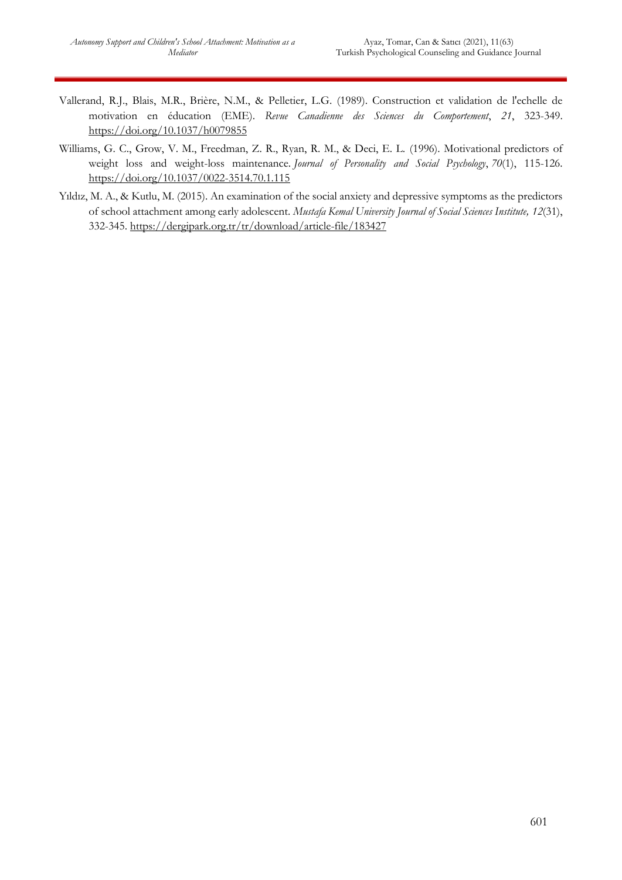- Vallerand, R.J., Blais, M.R., Brière, N.M., & Pelletier, L.G. (1989). Construction et validation de l'echelle de motivation en éducation (EME). *Revue Canadienne des Sciences du Comportement*, *21*, 323-349. [https://doi.org/10.1037/h0079855](about:blank)
- Williams, G. C., Grow, V. M., Freedman, Z. R., Ryan, R. M., & Deci, E. L. (1996). Motivational predictors of weight loss and weight-loss maintenance. *Journal of Personality and Social Psychology*, *70*(1), 115-126. [https://doi.org/10.1037/0022-3514.70.1.115](about:blank)
- Yıldız, M. A., & Kutlu, M. (2015). An examination of the social anxiety and depressive symptoms as the predictors of school attachment among early adolescent. *Mustafa Kemal University Journal of Social Sciences Institute, 12*(31), 332-345. [https://dergipark.org.tr/tr/download/article-file/183427](about:blank)